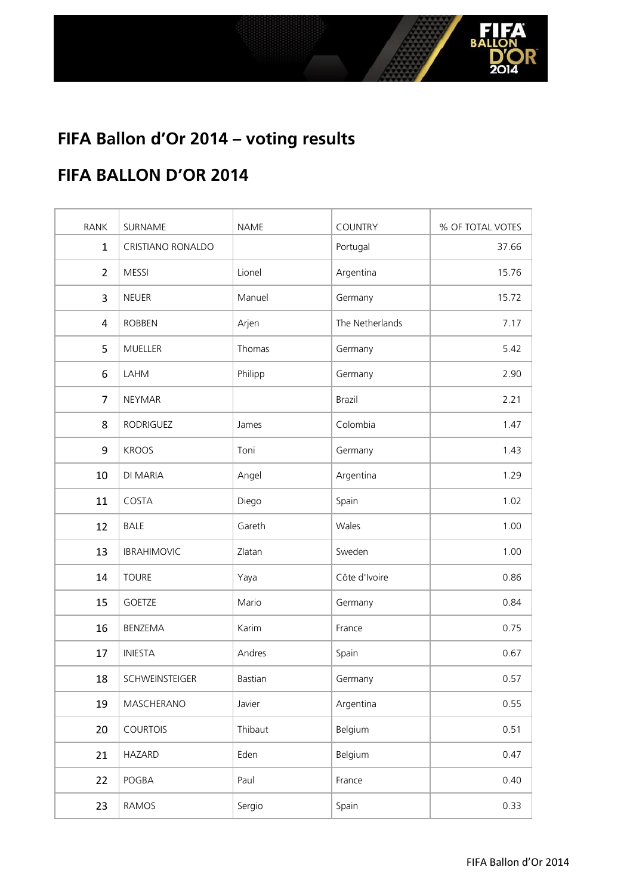

#### **FIFA BALLON D'OR 2014**

| <b>RANK</b>    | SURNAME            | <b>NAME</b> | <b>COUNTRY</b>  | % OF TOTAL VOTES |
|----------------|--------------------|-------------|-----------------|------------------|
| $\mathbf{1}$   | CRISTIANO RONALDO  |             | Portugal        | 37.66            |
| $\overline{2}$ | <b>MESSI</b>       | Lionel      | Argentina       | 15.76            |
| 3              | <b>NEUER</b>       | Manuel      | Germany         | 15.72            |
| $\overline{4}$ | <b>ROBBEN</b>      | Arjen       | The Netherlands | 7.17             |
| 5              | MUELLER            | Thomas      | Germany         | 5.42             |
| 6              | LAHM               | Philipp     | Germany         | 2.90             |
| $\overline{7}$ | <b>NEYMAR</b>      |             | Brazil          | 2.21             |
| 8              | RODRIGUEZ          | James       | Colombia        | 1.47             |
| 9              | <b>KROOS</b>       | Toni        | Germany         | 1.43             |
| 10             | DI MARIA           | Angel       | Argentina       | 1.29             |
| 11             | COSTA              | Diego       | Spain           | 1.02             |
| 12             | <b>BALE</b>        | Gareth      | Wales           | 1.00             |
| 13             | <b>IBRAHIMOVIC</b> | Zlatan      | Sweden          | 1.00             |
| 14             | <b>TOURE</b>       | Yaya        | Côte d'Ivoire   | 0.86             |
| 15             | <b>GOETZE</b>      | Mario       | Germany         | 0.84             |
| 16             | BENZEMA            | Karim       | France          | 0.75             |
| 17             | <b>INIESTA</b>     | Andres      | Spain           | 0.67             |
| 18             | SCHWEINSTEIGER     | Bastian     | Germany         | 0.57             |
| 19             | MASCHERANO         | Javier      | Argentina       | 0.55             |
| 20             | <b>COURTOIS</b>    | Thibaut     | Belgium         | 0.51             |
| 21             | <b>HAZARD</b>      | Eden        | Belgium         | 0.47             |
| 22             | POGBA              | Paul        | France          | 0.40             |
| 23             | <b>RAMOS</b>       | Sergio      | Spain           | 0.33             |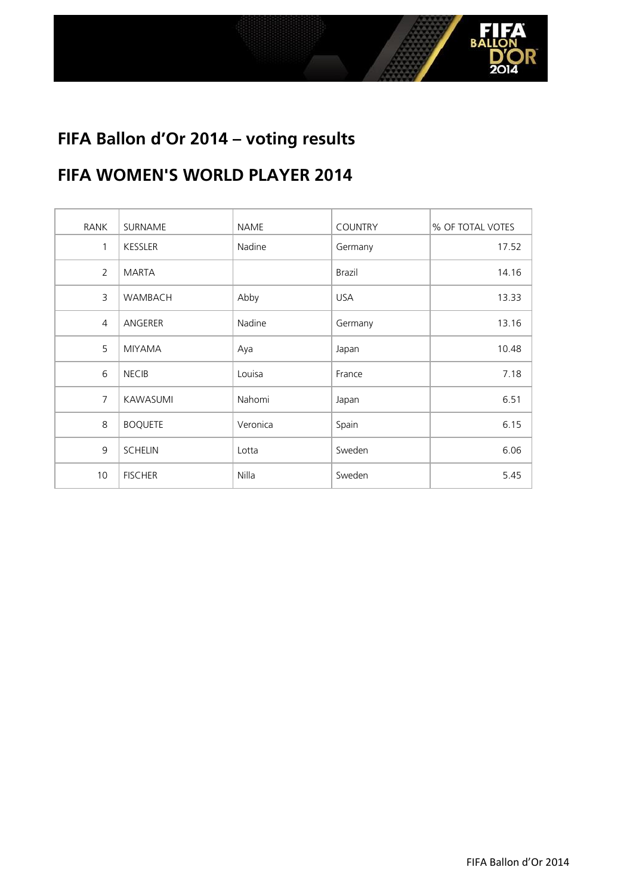

#### **FIFA WOMEN'S WORLD PLAYER 2014**

| RANK           | SURNAME        | NAME     | <b>COUNTRY</b> | % OF TOTAL VOTES |
|----------------|----------------|----------|----------------|------------------|
| $\mathbf{1}$   | <b>KESSLER</b> | Nadine   | Germany        | 17.52            |
| 2              | <b>MARTA</b>   |          | Brazil         | 14.16            |
| 3              | <b>WAMBACH</b> | Abby     | <b>USA</b>     | 13.33            |
| $\overline{4}$ | ANGERER        | Nadine   | Germany        | 13.16            |
| 5              | <b>MIYAMA</b>  | Aya      | Japan          | 10.48            |
| 6              | <b>NECIB</b>   | Louisa   | France         | 7.18             |
| $\overline{7}$ | KAWASUMI       | Nahomi   | Japan          | 6.51             |
| 8              | <b>BOQUETE</b> | Veronica | Spain          | 6.15             |
| 9              | <b>SCHELIN</b> | Lotta    | Sweden         | 6.06             |
| 10             | <b>FISCHER</b> | Nilla    | Sweden         | 5.45             |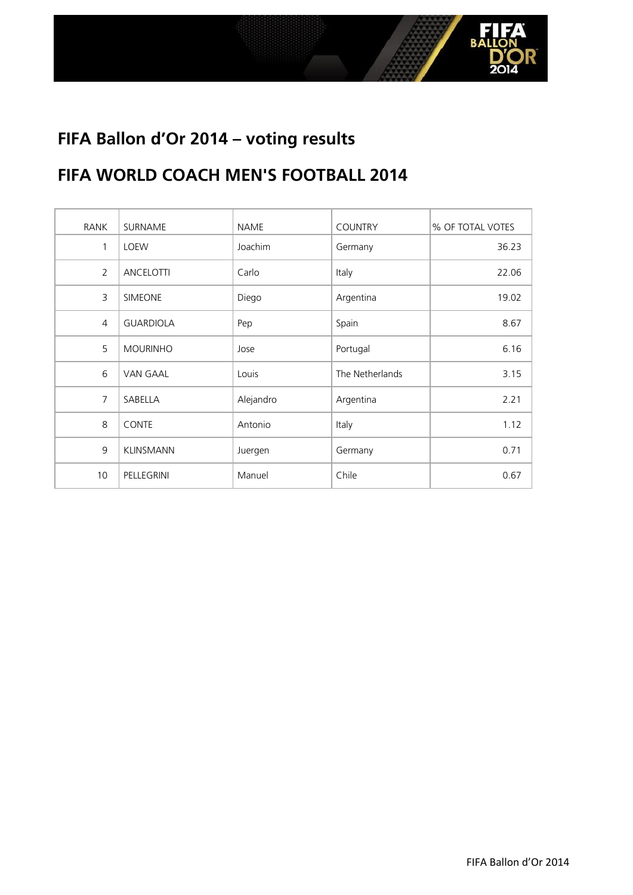

#### **FIFA WORLD COACH MEN'S FOOTBALL 2014**

| RANK           | SURNAME          | <b>NAME</b> | <b>COUNTRY</b>  | % OF TOTAL VOTES |
|----------------|------------------|-------------|-----------------|------------------|
| 1              | <b>LOEW</b>      | Joachim     | Germany         | 36.23            |
| $\overline{2}$ | ANCELOTTI        | Carlo       | Italy           | 22.06            |
| 3              | SIMEONE          | Diego       | Argentina       | 19.02            |
| $\overline{4}$ | <b>GUARDIOLA</b> | Pep         | Spain           | 8.67             |
| 5              | <b>MOURINHO</b>  | Jose        | Portugal        | 6.16             |
| 6              | <b>VAN GAAL</b>  | Louis       | The Netherlands | 3.15             |
| $\overline{7}$ | SABELLA          | Alejandro   | Argentina       | 2.21             |
| 8              | <b>CONTE</b>     | Antonio     | Italy           | 1.12             |
| 9              | <b>KLINSMANN</b> | Juergen     | Germany         | 0.71             |
| 10             | PELLEGRINI       | Manuel      | Chile           | 0.67             |